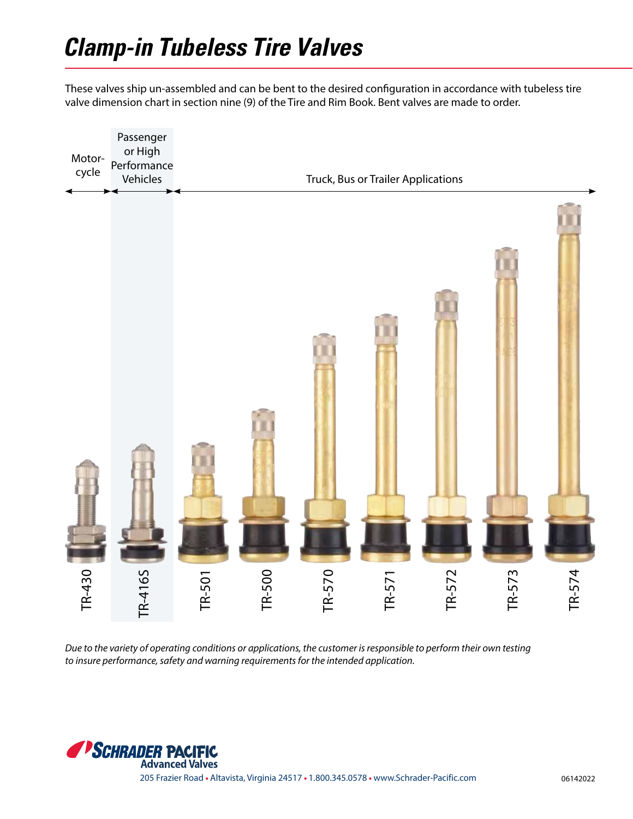These valves ship un-assembled and can be bent to the desired configuration in accordance with tubeless tire valve dimension chart in section nine (9) of the Tire and Rim Book. Bent valves are made to order.



*Due to the variety of operating conditions or applications, the customer is responsible to perform their own testing*